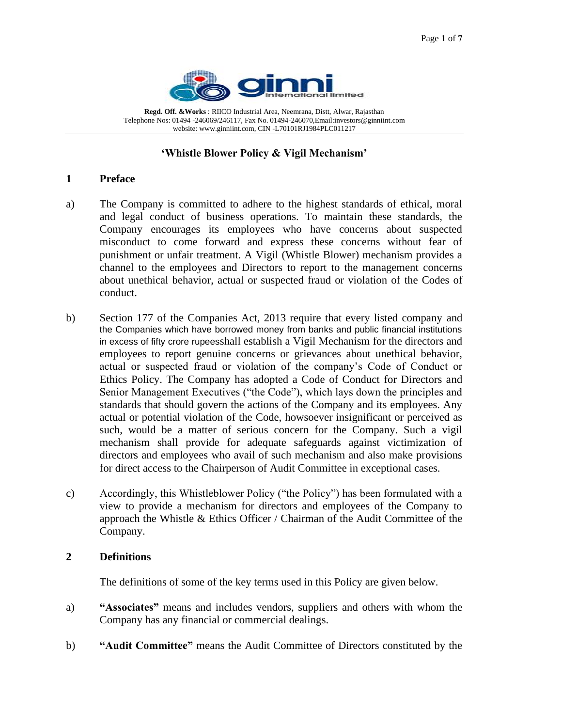

**Regd. Off. &Works** : RIICO Industrial Area, Neemrana, Distt, Alwar, Rajasthan Telephone Nos: 01494 -246069/246117, Fax No. 01494-246070,Email:investors@ginniint.com website: www.ginniint.com, CIN -L70101RJ1984PLC011217

## **'Whistle Blower Policy & Vigil Mechanism'**

#### **1 Preface**

- a) The Company is committed to adhere to the highest standards of ethical, moral and legal conduct of business operations. To maintain these standards, the Company encourages its employees who have concerns about suspected misconduct to come forward and express these concerns without fear of punishment or unfair treatment. A Vigil (Whistle Blower) mechanism provides a channel to the employees and Directors to report to the management concerns about unethical behavior, actual or suspected fraud or violation of the Codes of conduct.
- b) Section 177 of the Companies Act, 2013 require that every listed company and the Companies which have borrowed money from banks and public financial institutions in excess of fifty crore rupeesshall establish a Vigil Mechanism for the directors and employees to report genuine concerns or grievances about unethical behavior, actual or suspected fraud or violation of the company's Code of Conduct or Ethics Policy. The Company has adopted a Code of Conduct for Directors and Senior Management Executives ("the Code"), which lays down the principles and standards that should govern the actions of the Company and its employees. Any actual or potential violation of the Code, howsoever insignificant or perceived as such, would be a matter of serious concern for the Company. Such a vigil mechanism shall provide for adequate safeguards against victimization of directors and employees who avail of such mechanism and also make provisions for direct access to the Chairperson of Audit Committee in exceptional cases.
- c) Accordingly, this Whistleblower Policy ("the Policy") has been formulated with a view to provide a mechanism for directors and employees of the Company to approach the Whistle & Ethics Officer / Chairman of the Audit Committee of the Company.

#### **2 Definitions**

The definitions of some of the key terms used in this Policy are given below.

- a) **"Associates"** means and includes vendors, suppliers and others with whom the Company has any financial or commercial dealings.
- b) **"Audit Committee"** means the Audit Committee of Directors constituted by the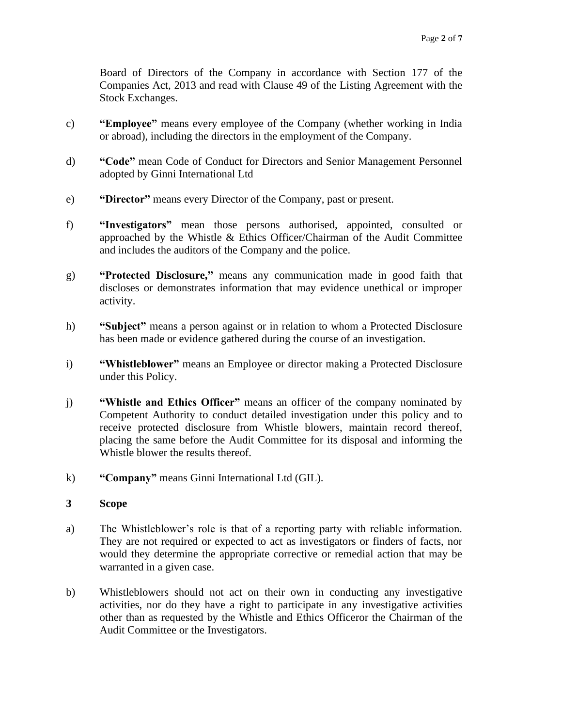Board of Directors of the Company in accordance with Section 177 of the Companies Act, 2013 and read with Clause 49 of the Listing Agreement with the Stock Exchanges.

- c) **"Employee"** means every employee of the Company (whether working in India or abroad), including the directors in the employment of the Company.
- d) **"Code"** mean Code of Conduct for Directors and Senior Management Personnel adopted by Ginni International Ltd
- e) **"Director"** means every Director of the Company, past or present.
- f) **"Investigators"** mean those persons authorised, appointed, consulted or approached by the Whistle & Ethics Officer/Chairman of the Audit Committee and includes the auditors of the Company and the police.
- g) **"Protected Disclosure,"** means any communication made in good faith that discloses or demonstrates information that may evidence unethical or improper activity.
- h) **"Subject"** means a person against or in relation to whom a Protected Disclosure has been made or evidence gathered during the course of an investigation.
- i) **"Whistleblower"** means an Employee or director making a Protected Disclosure under this Policy.
- j) **"Whistle and Ethics Officer"** means an officer of the company nominated by Competent Authority to conduct detailed investigation under this policy and to receive protected disclosure from Whistle blowers, maintain record thereof, placing the same before the Audit Committee for its disposal and informing the Whistle blower the results thereof.
- k) **"Company"** means Ginni International Ltd (GIL).
- **3 Scope**
- a) The Whistleblower's role is that of a reporting party with reliable information. They are not required or expected to act as investigators or finders of facts, nor would they determine the appropriate corrective or remedial action that may be warranted in a given case.
- b) Whistleblowers should not act on their own in conducting any investigative activities, nor do they have a right to participate in any investigative activities other than as requested by the Whistle and Ethics Officeror the Chairman of the Audit Committee or the Investigators.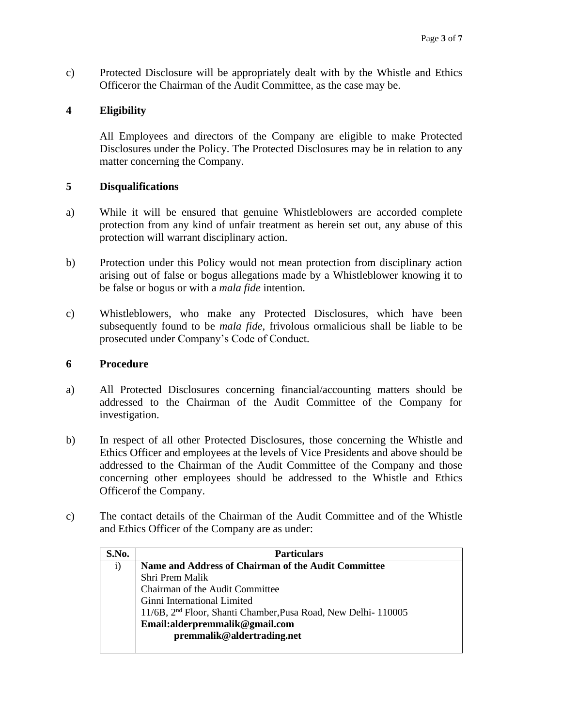c) Protected Disclosure will be appropriately dealt with by the Whistle and Ethics Officeror the Chairman of the Audit Committee, as the case may be.

# **4 Eligibility**

All Employees and directors of the Company are eligible to make Protected Disclosures under the Policy. The Protected Disclosures may be in relation to any matter concerning the Company.

# **5 Disqualifications**

- a) While it will be ensured that genuine Whistleblowers are accorded complete protection from any kind of unfair treatment as herein set out, any abuse of this protection will warrant disciplinary action.
- b) Protection under this Policy would not mean protection from disciplinary action arising out of false or bogus allegations made by a Whistleblower knowing it to be false or bogus or with a *mala fide* intention.
- c) Whistleblowers, who make any Protected Disclosures, which have been subsequently found to be *mala fide*, frivolous ormalicious shall be liable to be prosecuted under Company's Code of Conduct.

# **6 Procedure**

- a) All Protected Disclosures concerning financial/accounting matters should be addressed to the Chairman of the Audit Committee of the Company for investigation.
- b) In respect of all other Protected Disclosures, those concerning the Whistle and Ethics Officer and employees at the levels of Vice Presidents and above should be addressed to the Chairman of the Audit Committee of the Company and those concerning other employees should be addressed to the Whistle and Ethics Officerof the Company.
- c) The contact details of the Chairman of the Audit Committee and of the Whistle and Ethics Officer of the Company are as under:

| S.No.        | <b>Particulars</b>                                                        |
|--------------|---------------------------------------------------------------------------|
| $\mathbf{i}$ | Name and Address of Chairman of the Audit Committee                       |
|              | Shri Prem Malik                                                           |
|              | Chairman of the Audit Committee                                           |
|              | Ginni International Limited                                               |
|              | 11/6B, 2 <sup>nd</sup> Floor, Shanti Chamber, Pusa Road, New Delhi-110005 |
|              | Email:alderpremmalik@gmail.com                                            |
|              | premmalik@aldertrading.net                                                |
|              |                                                                           |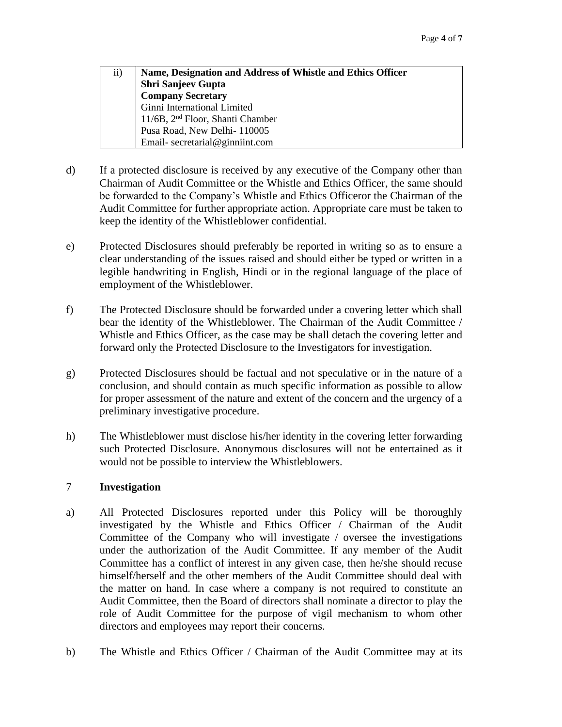| $\rm ii)$ | Name, Designation and Address of Whistle and Ethics Officer |
|-----------|-------------------------------------------------------------|
|           | Shri Sanjeev Gupta                                          |
|           | <b>Company Secretary</b><br>Ginni International Limited     |
|           |                                                             |
|           | 11/6B, 2 <sup>nd</sup> Floor, Shanti Chamber                |
|           | Pusa Road, New Delhi-110005                                 |
|           | Email-secretarial@ginniint.com                              |

- d) If a protected disclosure is received by any executive of the Company other than Chairman of Audit Committee or the Whistle and Ethics Officer, the same should be forwarded to the Company's Whistle and Ethics Officeror the Chairman of the Audit Committee for further appropriate action. Appropriate care must be taken to keep the identity of the Whistleblower confidential.
- e) Protected Disclosures should preferably be reported in writing so as to ensure a clear understanding of the issues raised and should either be typed or written in a legible handwriting in English, Hindi or in the regional language of the place of employment of the Whistleblower.
- f) The Protected Disclosure should be forwarded under a covering letter which shall bear the identity of the Whistleblower. The Chairman of the Audit Committee / Whistle and Ethics Officer, as the case may be shall detach the covering letter and forward only the Protected Disclosure to the Investigators for investigation.
- g) Protected Disclosures should be factual and not speculative or in the nature of a conclusion, and should contain as much specific information as possible to allow for proper assessment of the nature and extent of the concern and the urgency of a preliminary investigative procedure.
- h) The Whistleblower must disclose his/her identity in the covering letter forwarding such Protected Disclosure. Anonymous disclosures will not be entertained as it would not be possible to interview the Whistleblowers.

# 7 **Investigation**

- a) All Protected Disclosures reported under this Policy will be thoroughly investigated by the Whistle and Ethics Officer / Chairman of the Audit Committee of the Company who will investigate / oversee the investigations under the authorization of the Audit Committee. If any member of the Audit Committee has a conflict of interest in any given case, then he/she should recuse himself/herself and the other members of the Audit Committee should deal with the matter on hand. In case where a company is not required to constitute an Audit Committee, then the Board of directors shall nominate a director to play the role of Audit Committee for the purpose of vigil mechanism to whom other directors and employees may report their concerns.
- b) The Whistle and Ethics Officer / Chairman of the Audit Committee may at its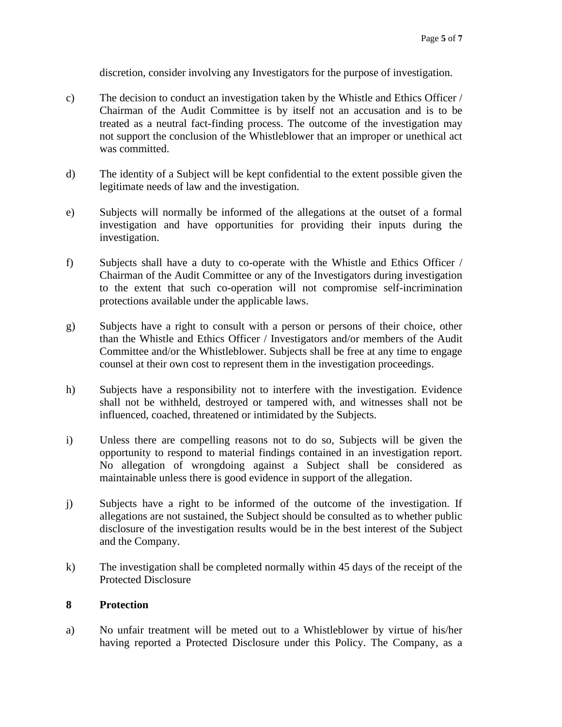discretion, consider involving any Investigators for the purpose of investigation.

- c) The decision to conduct an investigation taken by the Whistle and Ethics Officer / Chairman of the Audit Committee is by itself not an accusation and is to be treated as a neutral fact-finding process. The outcome of the investigation may not support the conclusion of the Whistleblower that an improper or unethical act was committed.
- d) The identity of a Subject will be kept confidential to the extent possible given the legitimate needs of law and the investigation.
- e) Subjects will normally be informed of the allegations at the outset of a formal investigation and have opportunities for providing their inputs during the investigation.
- f) Subjects shall have a duty to co-operate with the Whistle and Ethics Officer / Chairman of the Audit Committee or any of the Investigators during investigation to the extent that such co-operation will not compromise self-incrimination protections available under the applicable laws.
- g) Subjects have a right to consult with a person or persons of their choice, other than the Whistle and Ethics Officer / Investigators and/or members of the Audit Committee and/or the Whistleblower. Subjects shall be free at any time to engage counsel at their own cost to represent them in the investigation proceedings.
- h) Subjects have a responsibility not to interfere with the investigation. Evidence shall not be withheld, destroyed or tampered with, and witnesses shall not be influenced, coached, threatened or intimidated by the Subjects.
- i) Unless there are compelling reasons not to do so, Subjects will be given the opportunity to respond to material findings contained in an investigation report. No allegation of wrongdoing against a Subject shall be considered as maintainable unless there is good evidence in support of the allegation.
- j) Subjects have a right to be informed of the outcome of the investigation. If allegations are not sustained, the Subject should be consulted as to whether public disclosure of the investigation results would be in the best interest of the Subject and the Company.
- k) The investigation shall be completed normally within 45 days of the receipt of the Protected Disclosure

# **8 Protection**

a) No unfair treatment will be meted out to a Whistleblower by virtue of his/her having reported a Protected Disclosure under this Policy. The Company, as a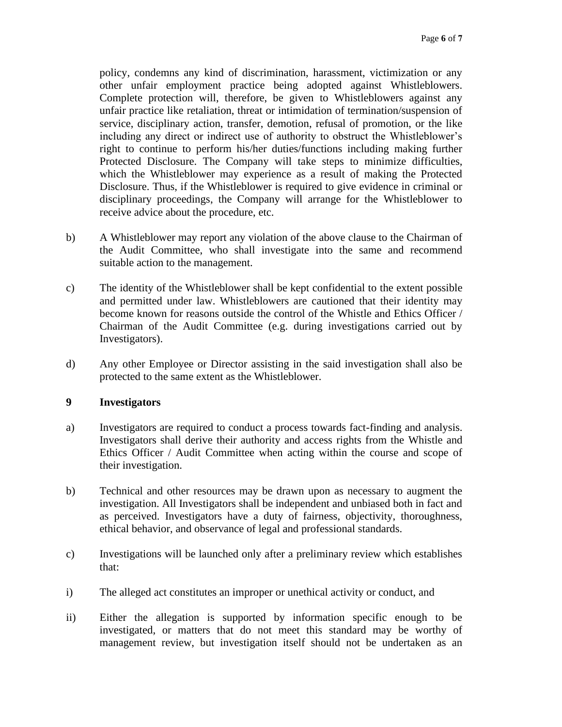policy, condemns any kind of discrimination, harassment, victimization or any other unfair employment practice being adopted against Whistleblowers. Complete protection will, therefore, be given to Whistleblowers against any unfair practice like retaliation, threat or intimidation of termination/suspension of service, disciplinary action, transfer, demotion, refusal of promotion, or the like including any direct or indirect use of authority to obstruct the Whistleblower's right to continue to perform his/her duties/functions including making further Protected Disclosure. The Company will take steps to minimize difficulties, which the Whistleblower may experience as a result of making the Protected Disclosure. Thus, if the Whistleblower is required to give evidence in criminal or disciplinary proceedings, the Company will arrange for the Whistleblower to receive advice about the procedure, etc.

- b) A Whistleblower may report any violation of the above clause to the Chairman of the Audit Committee, who shall investigate into the same and recommend suitable action to the management.
- c) The identity of the Whistleblower shall be kept confidential to the extent possible and permitted under law. Whistleblowers are cautioned that their identity may become known for reasons outside the control of the Whistle and Ethics Officer / Chairman of the Audit Committee (e.g. during investigations carried out by Investigators).
- d) Any other Employee or Director assisting in the said investigation shall also be protected to the same extent as the Whistleblower.

# **9 Investigators**

- a) Investigators are required to conduct a process towards fact-finding and analysis. Investigators shall derive their authority and access rights from the Whistle and Ethics Officer / Audit Committee when acting within the course and scope of their investigation.
- b) Technical and other resources may be drawn upon as necessary to augment the investigation. All Investigators shall be independent and unbiased both in fact and as perceived. Investigators have a duty of fairness, objectivity, thoroughness, ethical behavior, and observance of legal and professional standards.
- c) Investigations will be launched only after a preliminary review which establishes that:
- i) The alleged act constitutes an improper or unethical activity or conduct, and
- ii) Either the allegation is supported by information specific enough to be investigated, or matters that do not meet this standard may be worthy of management review, but investigation itself should not be undertaken as an